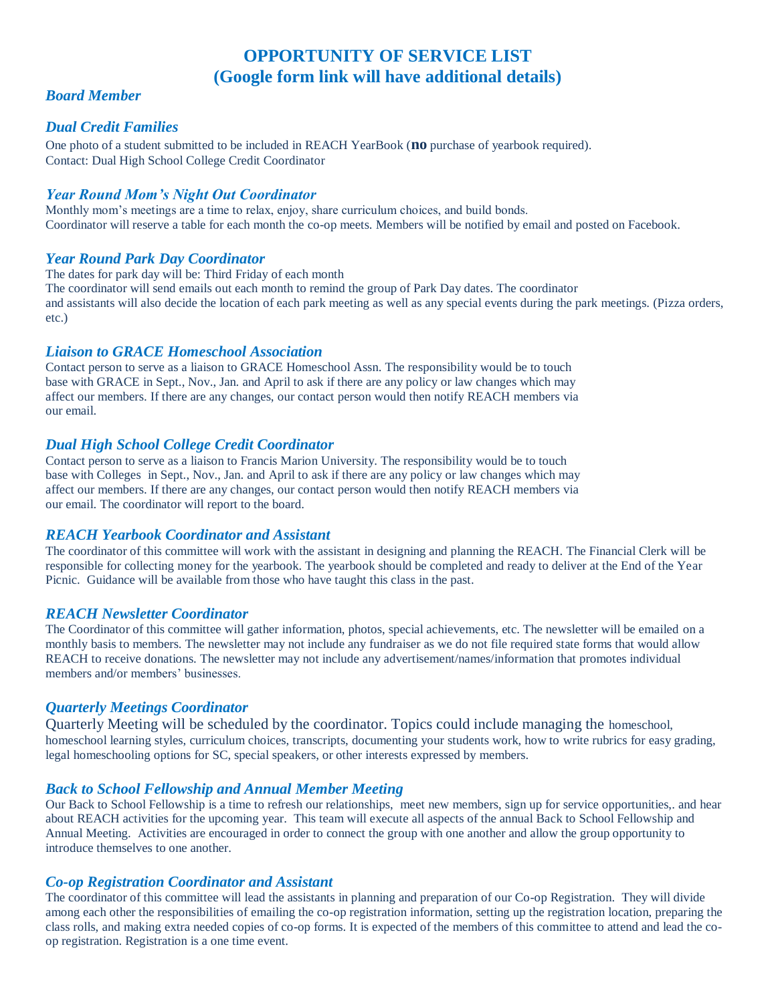# **OPPORTUNITY OF SERVICE LIST (Google form link will have additional details)**

# *Board Member*

# *Dual Credit Families*

One photo of a student submitted to be included in REACH YearBook (**no** purchase of yearbook required). Contact: Dual High School College Credit Coordinator

## *Year Round Mom's Night Out Coordinator*

Monthly mom's meetings are a time to relax, enjoy, share curriculum choices, and build bonds. Coordinator will reserve a table for each month the co-op meets. Members will be notified by email and posted on Facebook.

# *Year Round Park Day Coordinator*

The dates for park day will be: Third Friday of each month

The coordinator will send emails out each month to remind the group of Park Day dates. The coordinator and assistants will also decide the location of each park meeting as well as any special events during the park meetings. (Pizza orders, etc.)

# *Liaison to GRACE Homeschool Association*

Contact person to serve as a liaison to GRACE Homeschool Assn. The responsibility would be to touch base with GRACE in Sept., Nov., Jan. and April to ask if there are any policy or law changes which may affect our members. If there are any changes, our contact person would then notify REACH members via our email.

# *Dual High School College Credit Coordinator*

Contact person to serve as a liaison to Francis Marion University. The responsibility would be to touch base with Colleges in Sept., Nov., Jan. and April to ask if there are any policy or law changes which may affect our members. If there are any changes, our contact person would then notify REACH members via our email. The coordinator will report to the board.

## *REACH Yearbook Coordinator and Assistant*

The coordinator of this committee will work with the assistant in designing and planning the REACH. The Financial Clerk will be responsible for collecting money for the yearbook. The yearbook should be completed and ready to deliver at the End of the Year Picnic. Guidance will be available from those who have taught this class in the past.

## *REACH Newsletter Coordinator*

The Coordinator of this committee will gather information, photos, special achievements, etc. The newsletter will be emailed on a monthly basis to members. The newsletter may not include any fundraiser as we do not file required state forms that would allow REACH to receive donations. The newsletter may not include any advertisement/names/information that promotes individual members and/or members' businesses.

# *Quarterly Meetings Coordinator*

Quarterly Meeting will be scheduled by the coordinator. Topics could include managing the homeschool, homeschool learning styles, curriculum choices, transcripts, documenting your students work, how to write rubrics for easy grading, legal homeschooling options for SC, special speakers, or other interests expressed by members.

## *Back to School Fellowship and Annual Member Meeting*

Our Back to School Fellowship is a time to refresh our relationships, meet new members, sign up for service opportunities,. and hear about REACH activities for the upcoming year. This team will execute all aspects of the annual Back to School Fellowship and Annual Meeting. Activities are encouraged in order to connect the group with one another and allow the group opportunity to introduce themselves to one another.

## *Co-op Registration Coordinator and Assistant*

The coordinator of this committee will lead the assistants in planning and preparation of our Co-op Registration. They will divide among each other the responsibilities of emailing the co-op registration information, setting up the registration location, preparing the class rolls, and making extra needed copies of co-op forms. It is expected of the members of this committee to attend and lead the coop registration. Registration is a one time event.